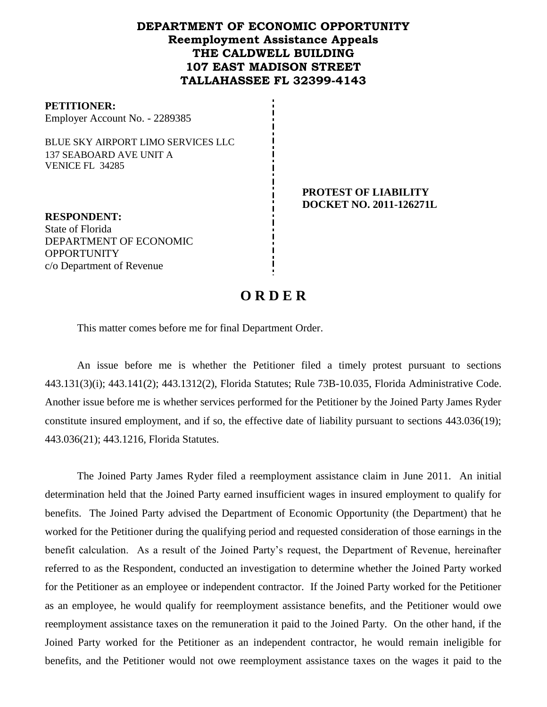## **DEPARTMENT OF ECONOMIC OPPORTUNITY Reemployment Assistance Appeals THE CALDWELL BUILDING 107 EAST MADISON STREET TALLAHASSEE FL 32399-4143**

#### **PETITIONER:**

Employer Account No. - 2289385

BLUE SKY AIRPORT LIMO SERVICES LLC 137 SEABOARD AVE UNIT A VENICE FL 34285

> **PROTEST OF LIABILITY DOCKET NO. 2011-126271L**

**RESPONDENT:** State of Florida DEPARTMENT OF ECONOMIC **OPPORTUNITY** c/o Department of Revenue

# **O R D E R**

This matter comes before me for final Department Order.

An issue before me is whether the Petitioner filed a timely protest pursuant to sections 443.131(3)(i); 443.141(2); 443.1312(2), Florida Statutes; Rule 73B-10.035, Florida Administrative Code. Another issue before me is whether services performed for the Petitioner by the Joined Party James Ryder constitute insured employment, and if so, the effective date of liability pursuant to sections 443.036(19); 443.036(21); 443.1216, Florida Statutes.

The Joined Party James Ryder filed a reemployment assistance claim in June 2011.An initial determination held that the Joined Party earned insufficient wages in insured employment to qualify for benefits. The Joined Party advised the Department of Economic Opportunity (the Department) that he worked for the Petitioner during the qualifying period and requested consideration of those earnings in the benefit calculation. As a result of the Joined Party's request, the Department of Revenue, hereinafter referred to as the Respondent, conducted an investigation to determine whether the Joined Party worked for the Petitioner as an employee or independent contractor. If the Joined Party worked for the Petitioner as an employee, he would qualify for reemployment assistance benefits, and the Petitioner would owe reemployment assistance taxes on the remuneration it paid to the Joined Party. On the other hand, if the Joined Party worked for the Petitioner as an independent contractor, he would remain ineligible for benefits, and the Petitioner would not owe reemployment assistance taxes on the wages it paid to the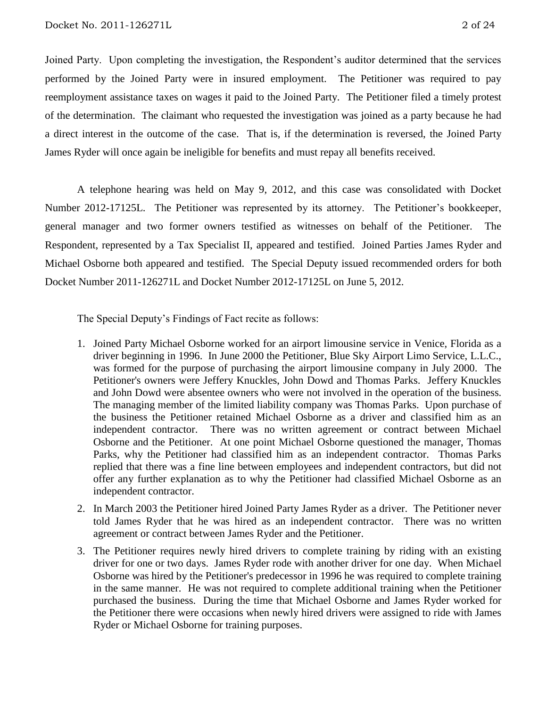Joined Party. Upon completing the investigation, the Respondent's auditor determined that the services performed by the Joined Party were in insured employment. The Petitioner was required to pay reemployment assistance taxes on wages it paid to the Joined Party.The Petitioner filed a timely protest of the determination.The claimant who requested the investigation was joined as a party because he had a direct interest in the outcome of the case. That is, if the determination is reversed, the Joined Party James Ryder will once again be ineligible for benefits and must repay all benefits received.

A telephone hearing was held on May 9, 2012, and this case was consolidated with Docket Number 2012-17125L.The Petitioner was represented by its attorney. The Petitioner's bookkeeper, general manager and two former owners testified as witnesses on behalf of the Petitioner. The Respondent, represented by a Tax Specialist II, appeared and testified. Joined Parties James Ryder and Michael Osborne both appeared and testified. The Special Deputy issued recommended orders for both Docket Number 2011-126271L and Docket Number 2012-17125L on June 5, 2012.

The Special Deputy's Findings of Fact recite as follows:

- 1. Joined Party Michael Osborne worked for an airport limousine service in Venice, Florida as a driver beginning in 1996. In June 2000 the Petitioner, Blue Sky Airport Limo Service, L.L.C., was formed for the purpose of purchasing the airport limousine company in July 2000. The Petitioner's owners were Jeffery Knuckles, John Dowd and Thomas Parks. Jeffery Knuckles and John Dowd were absentee owners who were not involved in the operation of the business. The managing member of the limited liability company was Thomas Parks. Upon purchase of the business the Petitioner retained Michael Osborne as a driver and classified him as an independent contractor. There was no written agreement or contract between Michael Osborne and the Petitioner. At one point Michael Osborne questioned the manager, Thomas Parks, why the Petitioner had classified him as an independent contractor. Thomas Parks replied that there was a fine line between employees and independent contractors, but did not offer any further explanation as to why the Petitioner had classified Michael Osborne as an independent contractor.
- 2. In March 2003 the Petitioner hired Joined Party James Ryder as a driver. The Petitioner never told James Ryder that he was hired as an independent contractor. There was no written agreement or contract between James Ryder and the Petitioner.
- 3. The Petitioner requires newly hired drivers to complete training by riding with an existing driver for one or two days. James Ryder rode with another driver for one day. When Michael Osborne was hired by the Petitioner's predecessor in 1996 he was required to complete training in the same manner. He was not required to complete additional training when the Petitioner purchased the business. During the time that Michael Osborne and James Ryder worked for the Petitioner there were occasions when newly hired drivers were assigned to ride with James Ryder or Michael Osborne for training purposes.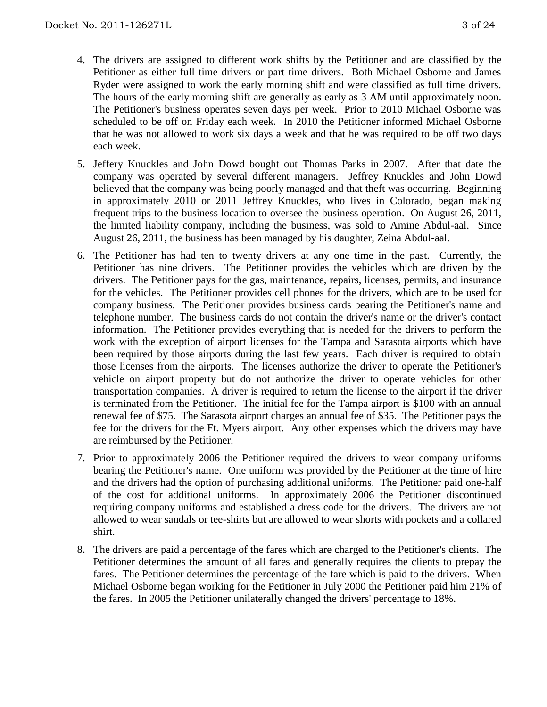- 4. The drivers are assigned to different work shifts by the Petitioner and are classified by the Petitioner as either full time drivers or part time drivers. Both Michael Osborne and James Ryder were assigned to work the early morning shift and were classified as full time drivers. The hours of the early morning shift are generally as early as 3 AM until approximately noon. The Petitioner's business operates seven days per week. Prior to 2010 Michael Osborne was scheduled to be off on Friday each week. In 2010 the Petitioner informed Michael Osborne that he was not allowed to work six days a week and that he was required to be off two days each week.
- 5. Jeffery Knuckles and John Dowd bought out Thomas Parks in 2007. After that date the company was operated by several different managers. Jeffrey Knuckles and John Dowd believed that the company was being poorly managed and that theft was occurring. Beginning in approximately 2010 or 2011 Jeffrey Knuckles, who lives in Colorado, began making frequent trips to the business location to oversee the business operation. On August 26, 2011, the limited liability company, including the business, was sold to Amine Abdul-aal. Since August 26, 2011, the business has been managed by his daughter, Zeina Abdul-aal.
- 6. The Petitioner has had ten to twenty drivers at any one time in the past. Currently, the Petitioner has nine drivers. The Petitioner provides the vehicles which are driven by the drivers. The Petitioner pays for the gas, maintenance, repairs, licenses, permits, and insurance for the vehicles. The Petitioner provides cell phones for the drivers, which are to be used for company business. The Petitioner provides business cards bearing the Petitioner's name and telephone number. The business cards do not contain the driver's name or the driver's contact information. The Petitioner provides everything that is needed for the drivers to perform the work with the exception of airport licenses for the Tampa and Sarasota airports which have been required by those airports during the last few years. Each driver is required to obtain those licenses from the airports. The licenses authorize the driver to operate the Petitioner's vehicle on airport property but do not authorize the driver to operate vehicles for other transportation companies. A driver is required to return the license to the airport if the driver is terminated from the Petitioner. The initial fee for the Tampa airport is \$100 with an annual renewal fee of \$75. The Sarasota airport charges an annual fee of \$35. The Petitioner pays the fee for the drivers for the Ft. Myers airport. Any other expenses which the drivers may have are reimbursed by the Petitioner.
- 7. Prior to approximately 2006 the Petitioner required the drivers to wear company uniforms bearing the Petitioner's name. One uniform was provided by the Petitioner at the time of hire and the drivers had the option of purchasing additional uniforms. The Petitioner paid one-half of the cost for additional uniforms. In approximately 2006 the Petitioner discontinued requiring company uniforms and established a dress code for the drivers. The drivers are not allowed to wear sandals or tee-shirts but are allowed to wear shorts with pockets and a collared shirt.
- 8. The drivers are paid a percentage of the fares which are charged to the Petitioner's clients. The Petitioner determines the amount of all fares and generally requires the clients to prepay the fares. The Petitioner determines the percentage of the fare which is paid to the drivers. When Michael Osborne began working for the Petitioner in July 2000 the Petitioner paid him 21% of the fares. In 2005 the Petitioner unilaterally changed the drivers' percentage to 18%.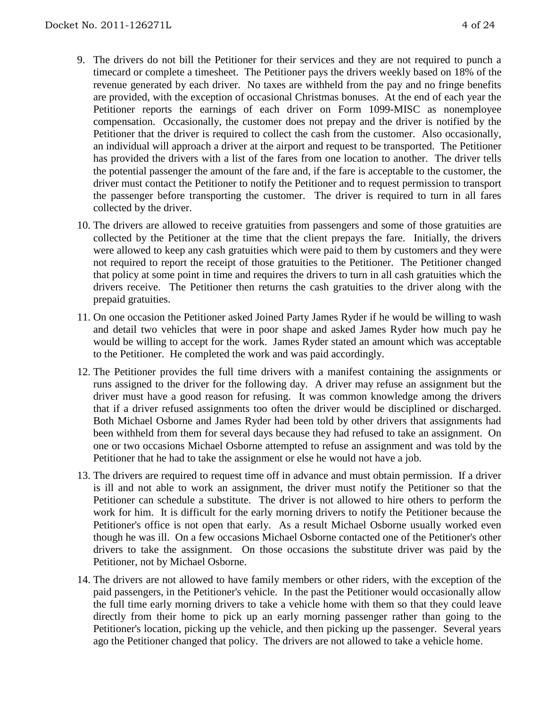- 9. The drivers do not bill the Petitioner for their services and they are not required to punch a timecard or complete a timesheet. The Petitioner pays the drivers weekly based on 18% of the revenue generated by each driver. No taxes are withheld from the pay and no fringe benefits are provided, with the exception of occasional Christmas bonuses. At the end of each year the Petitioner reports the earnings of each driver on Form 1099-MISC as nonemployee compensation. Occasionally, the customer does not prepay and the driver is notified by the Petitioner that the driver is required to collect the cash from the customer. Also occasionally, an individual will approach a driver at the airport and request to be transported. The Petitioner has provided the drivers with a list of the fares from one location to another. The driver tells the potential passenger the amount of the fare and, if the fare is acceptable to the customer, the driver must contact the Petitioner to notify the Petitioner and to request permission to transport the passenger before transporting the customer. The driver is required to turn in all fares collected by the driver.
- 10. The drivers are allowed to receive gratuities from passengers and some of those gratuities are collected by the Petitioner at the time that the client prepays the fare. Initially, the drivers were allowed to keep any cash gratuities which were paid to them by customers and they were not required to report the receipt of those gratuities to the Petitioner. The Petitioner changed that policy at some point in time and requires the drivers to turn in all cash gratuities which the drivers receive. The Petitioner then returns the cash gratuities to the driver along with the prepaid gratuities.
- 11. On one occasion the Petitioner asked Joined Party James Ryder if he would be willing to wash and detail two vehicles that were in poor shape and asked James Ryder how much pay he would be willing to accept for the work. James Ryder stated an amount which was acceptable to the Petitioner. He completed the work and was paid accordingly.
- 12. The Petitioner provides the full time drivers with a manifest containing the assignments or runs assigned to the driver for the following day. A driver may refuse an assignment but the driver must have a good reason for refusing. It was common knowledge among the drivers that if a driver refused assignments too often the driver would be disciplined or discharged. Both Michael Osborne and James Ryder had been told by other drivers that assignments had been withheld from them for several days because they had refused to take an assignment. On one or two occasions Michael Osborne attempted to refuse an assignment and was told by the Petitioner that he had to take the assignment or else he would not have a job.
- 13. The drivers are required to request time off in advance and must obtain permission. If a driver is ill and not able to work an assignment, the driver must notify the Petitioner so that the Petitioner can schedule a substitute. The driver is not allowed to hire others to perform the work for him. It is difficult for the early morning drivers to notify the Petitioner because the Petitioner's office is not open that early. As a result Michael Osborne usually worked even though he was ill. On a few occasions Michael Osborne contacted one of the Petitioner's other drivers to take the assignment. On those occasions the substitute driver was paid by the Petitioner, not by Michael Osborne.
- 14. The drivers are not allowed to have family members or other riders, with the exception of the paid passengers, in the Petitioner's vehicle. In the past the Petitioner would occasionally allow the full time early morning drivers to take a vehicle home with them so that they could leave directly from their home to pick up an early morning passenger rather than going to the Petitioner's location, picking up the vehicle, and then picking up the passenger. Several years ago the Petitioner changed that policy. The drivers are not allowed to take a vehicle home.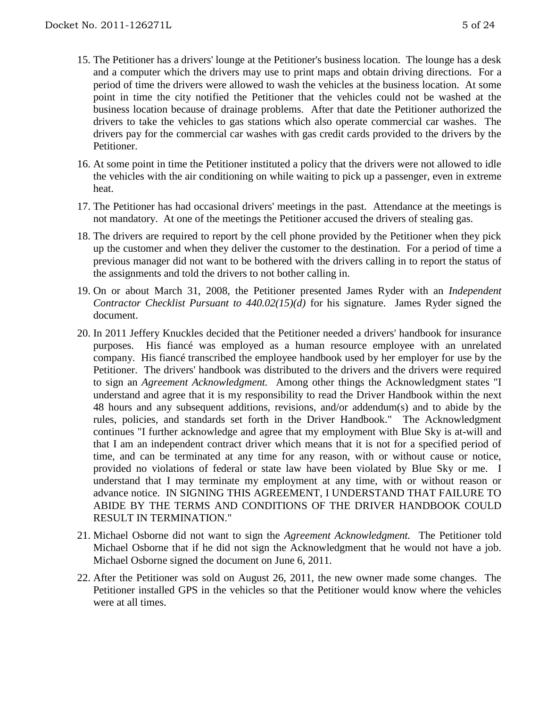- 15. The Petitioner has a drivers' lounge at the Petitioner's business location. The lounge has a desk and a computer which the drivers may use to print maps and obtain driving directions. For a period of time the drivers were allowed to wash the vehicles at the business location. At some point in time the city notified the Petitioner that the vehicles could not be washed at the business location because of drainage problems. After that date the Petitioner authorized the drivers to take the vehicles to gas stations which also operate commercial car washes. The drivers pay for the commercial car washes with gas credit cards provided to the drivers by the Petitioner.
- 16. At some point in time the Petitioner instituted a policy that the drivers were not allowed to idle the vehicles with the air conditioning on while waiting to pick up a passenger, even in extreme heat.
- 17. The Petitioner has had occasional drivers' meetings in the past. Attendance at the meetings is not mandatory. At one of the meetings the Petitioner accused the drivers of stealing gas.
- 18. The drivers are required to report by the cell phone provided by the Petitioner when they pick up the customer and when they deliver the customer to the destination. For a period of time a previous manager did not want to be bothered with the drivers calling in to report the status of the assignments and told the drivers to not bother calling in.
- 19. On or about March 31, 2008, the Petitioner presented James Ryder with an *Independent Contractor Checklist Pursuant to 440.02(15)(d)* for his signature. James Ryder signed the document.
- 20. In 2011 Jeffery Knuckles decided that the Petitioner needed a drivers' handbook for insurance purposes. His fiancé was employed as a human resource employee with an unrelated company. His fiancé transcribed the employee handbook used by her employer for use by the Petitioner. The drivers' handbook was distributed to the drivers and the drivers were required to sign an *Agreement Acknowledgment.* Among other things the Acknowledgment states "I understand and agree that it is my responsibility to read the Driver Handbook within the next 48 hours and any subsequent additions, revisions, and/or addendum(s) and to abide by the rules, policies, and standards set forth in the Driver Handbook." The Acknowledgment continues "I further acknowledge and agree that my employment with Blue Sky is at-will and that I am an independent contract driver which means that it is not for a specified period of time, and can be terminated at any time for any reason, with or without cause or notice, provided no violations of federal or state law have been violated by Blue Sky or me. I understand that I may terminate my employment at any time, with or without reason or advance notice. IN SIGNING THIS AGREEMENT, I UNDERSTAND THAT FAILURE TO ABIDE BY THE TERMS AND CONDITIONS OF THE DRIVER HANDBOOK COULD RESULT IN TERMINATION."
- 21. Michael Osborne did not want to sign the *Agreement Acknowledgment.* The Petitioner told Michael Osborne that if he did not sign the Acknowledgment that he would not have a job. Michael Osborne signed the document on June 6, 2011.
- 22. After the Petitioner was sold on August 26, 2011, the new owner made some changes. The Petitioner installed GPS in the vehicles so that the Petitioner would know where the vehicles were at all times.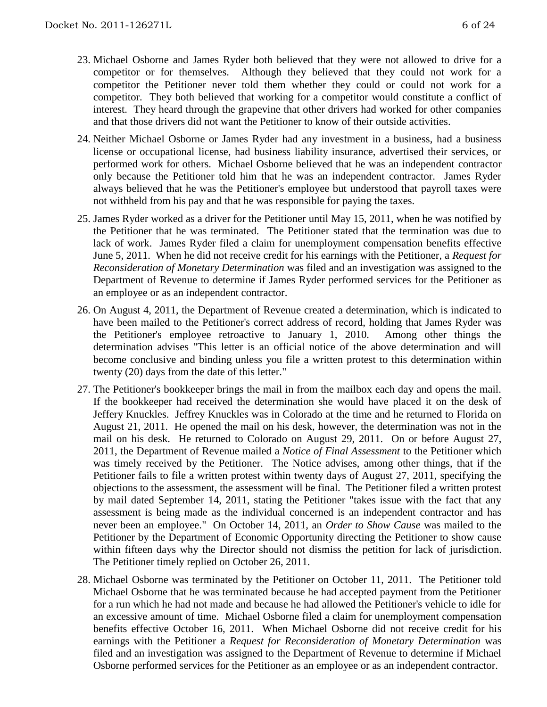- 23. Michael Osborne and James Ryder both believed that they were not allowed to drive for a competitor or for themselves. Although they believed that they could not work for a competitor the Petitioner never told them whether they could or could not work for a competitor. They both believed that working for a competitor would constitute a conflict of interest. They heard through the grapevine that other drivers had worked for other companies and that those drivers did not want the Petitioner to know of their outside activities.
- 24. Neither Michael Osborne or James Ryder had any investment in a business, had a business license or occupational license, had business liability insurance, advertised their services, or performed work for others. Michael Osborne believed that he was an independent contractor only because the Petitioner told him that he was an independent contractor. James Ryder always believed that he was the Petitioner's employee but understood that payroll taxes were not withheld from his pay and that he was responsible for paying the taxes.
- 25. James Ryder worked as a driver for the Petitioner until May 15, 2011, when he was notified by the Petitioner that he was terminated. The Petitioner stated that the termination was due to lack of work. James Ryder filed a claim for unemployment compensation benefits effective June 5, 2011. When he did not receive credit for his earnings with the Petitioner, a *Request for Reconsideration of Monetary Determination* was filed and an investigation was assigned to the Department of Revenue to determine if James Ryder performed services for the Petitioner as an employee or as an independent contractor.
- 26. On August 4, 2011, the Department of Revenue created a determination, which is indicated to have been mailed to the Petitioner's correct address of record, holding that James Ryder was the Petitioner's employee retroactive to January 1, 2010. Among other things the determination advises "This letter is an official notice of the above determination and will become conclusive and binding unless you file a written protest to this determination within twenty (20) days from the date of this letter."
- 27. The Petitioner's bookkeeper brings the mail in from the mailbox each day and opens the mail. If the bookkeeper had received the determination she would have placed it on the desk of Jeffery Knuckles. Jeffrey Knuckles was in Colorado at the time and he returned to Florida on August 21, 2011. He opened the mail on his desk, however, the determination was not in the mail on his desk. He returned to Colorado on August 29, 2011. On or before August 27, 2011, the Department of Revenue mailed a *Notice of Final Assessment* to the Petitioner which was timely received by the Petitioner. The Notice advises, among other things, that if the Petitioner fails to file a written protest within twenty days of August 27, 2011, specifying the objections to the assessment, the assessment will be final. The Petitioner filed a written protest by mail dated September 14, 2011, stating the Petitioner "takes issue with the fact that any assessment is being made as the individual concerned is an independent contractor and has never been an employee." On October 14, 2011, an *Order to Show Cause* was mailed to the Petitioner by the Department of Economic Opportunity directing the Petitioner to show cause within fifteen days why the Director should not dismiss the petition for lack of jurisdiction. The Petitioner timely replied on October 26, 2011.
- 28. Michael Osborne was terminated by the Petitioner on October 11, 2011. The Petitioner told Michael Osborne that he was terminated because he had accepted payment from the Petitioner for a run which he had not made and because he had allowed the Petitioner's vehicle to idle for an excessive amount of time. Michael Osborne filed a claim for unemployment compensation benefits effective October 16, 2011. When Michael Osborne did not receive credit for his earnings with the Petitioner a *Request for Reconsideration of Monetary Determination* was filed and an investigation was assigned to the Department of Revenue to determine if Michael Osborne performed services for the Petitioner as an employee or as an independent contractor.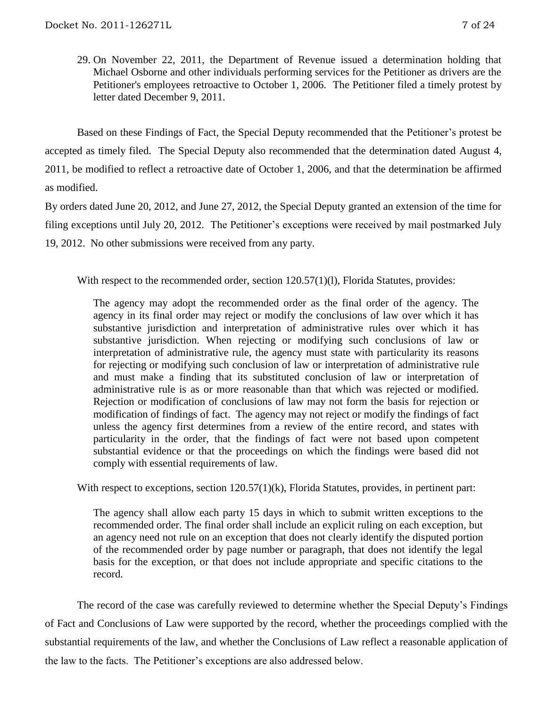29. On November 22, 2011, the Department of Revenue issued a determination holding that Michael Osborne and other individuals performing services for the Petitioner as drivers are the Petitioner's employees retroactive to October 1, 2006. The Petitioner filed a timely protest by letter dated December 9, 2011.

Based on these Findings of Fact, the Special Deputy recommended that the Petitioner's protest be accepted as timely filed. The Special Deputy also recommended that the determination dated August 4, 2011, be modified to reflect a retroactive date of October 1, 2006, and that the determination be affirmed as modified.

By orders dated June 20, 2012, and June 27, 2012, the Special Deputy granted an extension of the time for filing exceptions until July 20, 2012. The Petitioner's exceptions were received by mail postmarked July 19, 2012. No other submissions were received from any party.

With respect to the recommended order, section 120.57(1)(l), Florida Statutes, provides:

The agency may adopt the recommended order as the final order of the agency. The agency in its final order may reject or modify the conclusions of law over which it has substantive jurisdiction and interpretation of administrative rules over which it has substantive jurisdiction. When rejecting or modifying such conclusions of law or interpretation of administrative rule, the agency must state with particularity its reasons for rejecting or modifying such conclusion of law or interpretation of administrative rule and must make a finding that its substituted conclusion of law or interpretation of administrative rule is as or more reasonable than that which was rejected or modified. Rejection or modification of conclusions of law may not form the basis for rejection or modification of findings of fact. The agency may not reject or modify the findings of fact unless the agency first determines from a review of the entire record, and states with particularity in the order, that the findings of fact were not based upon competent substantial evidence or that the proceedings on which the findings were based did not comply with essential requirements of law.

With respect to exceptions, section  $120.57(1)(k)$ , Florida Statutes, provides, in pertinent part:

The agency shall allow each party 15 days in which to submit written exceptions to the recommended order. The final order shall include an explicit ruling on each exception, but an agency need not rule on an exception that does not clearly identify the disputed portion of the recommended order by page number or paragraph, that does not identify the legal basis for the exception, or that does not include appropriate and specific citations to the record.

The record of the case was carefully reviewed to determine whether the Special Deputy's Findings of Fact and Conclusions of Law were supported by the record, whether the proceedings complied with the substantial requirements of the law, and whether the Conclusions of Law reflect a reasonable application of the law to the facts. The Petitioner's exceptions are also addressed below.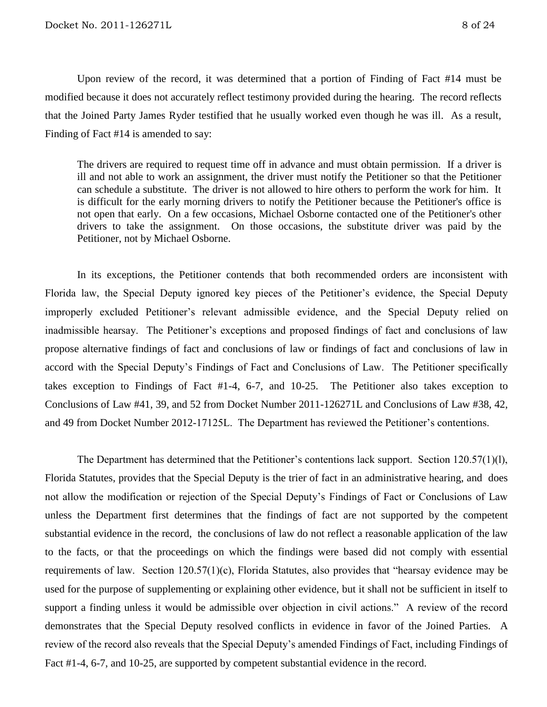Upon review of the record, it was determined that a portion of Finding of Fact #14 must be modified because it does not accurately reflect testimony provided during the hearing. The record reflects that the Joined Party James Ryder testified that he usually worked even though he was ill. As a result, Finding of Fact #14 is amended to say:

The drivers are required to request time off in advance and must obtain permission. If a driver is ill and not able to work an assignment, the driver must notify the Petitioner so that the Petitioner can schedule a substitute. The driver is not allowed to hire others to perform the work for him. It is difficult for the early morning drivers to notify the Petitioner because the Petitioner's office is not open that early. On a few occasions, Michael Osborne contacted one of the Petitioner's other drivers to take the assignment. On those occasions, the substitute driver was paid by the Petitioner, not by Michael Osborne.

In its exceptions, the Petitioner contends that both recommended orders are inconsistent with Florida law, the Special Deputy ignored key pieces of the Petitioner's evidence, the Special Deputy improperly excluded Petitioner's relevant admissible evidence, and the Special Deputy relied on inadmissible hearsay. The Petitioner's exceptions and proposed findings of fact and conclusions of law propose alternative findings of fact and conclusions of law or findings of fact and conclusions of law in accord with the Special Deputy's Findings of Fact and Conclusions of Law. The Petitioner specifically takes exception to Findings of Fact #1-4, 6-7, and 10-25. The Petitioner also takes exception to Conclusions of Law #41, 39, and 52 from Docket Number 2011-126271L and Conclusions of Law #38, 42, and 49 from Docket Number 2012-17125L. The Department has reviewed the Petitioner's contentions.

The Department has determined that the Petitioner's contentions lack support. Section 120.57(1)(l), Florida Statutes, provides that the Special Deputy is the trier of fact in an administrative hearing, and does not allow the modification or rejection of the Special Deputy's Findings of Fact or Conclusions of Law unless the Department first determines that the findings of fact are not supported by the competent substantial evidence in the record, the conclusions of law do not reflect a reasonable application of the law to the facts, or that the proceedings on which the findings were based did not comply with essential requirements of law. Section 120.57(1)(c), Florida Statutes, also provides that "hearsay evidence may be used for the purpose of supplementing or explaining other evidence, but it shall not be sufficient in itself to support a finding unless it would be admissible over objection in civil actions." A review of the record demonstrates that the Special Deputy resolved conflicts in evidence in favor of the Joined Parties. A review of the record also reveals that the Special Deputy's amended Findings of Fact, including Findings of Fact #1-4, 6-7, and 10-25, are supported by competent substantial evidence in the record.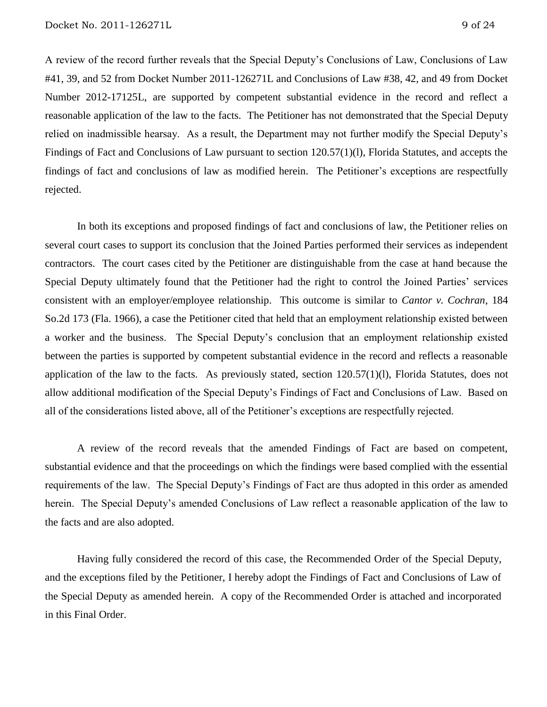A review of the record further reveals that the Special Deputy's Conclusions of Law, Conclusions of Law #41, 39, and 52 from Docket Number 2011-126271L and Conclusions of Law #38, 42, and 49 from Docket Number 2012-17125L, are supported by competent substantial evidence in the record and reflect a reasonable application of the law to the facts. The Petitioner has not demonstrated that the Special Deputy relied on inadmissible hearsay. As a result, the Department may not further modify the Special Deputy's Findings of Fact and Conclusions of Law pursuant to section 120.57(1)(l), Florida Statutes, and accepts the findings of fact and conclusions of law as modified herein. The Petitioner's exceptions are respectfully rejected.

In both its exceptions and proposed findings of fact and conclusions of law, the Petitioner relies on several court cases to support its conclusion that the Joined Parties performed their services as independent contractors. The court cases cited by the Petitioner are distinguishable from the case at hand because the Special Deputy ultimately found that the Petitioner had the right to control the Joined Parties' services consistent with an employer/employee relationship. This outcome is similar to *Cantor v. Cochran*, 184 So.2d 173 (Fla. 1966), a case the Petitioner cited that held that an employment relationship existed between a worker and the business. The Special Deputy's conclusion that an employment relationship existed between the parties is supported by competent substantial evidence in the record and reflects a reasonable application of the law to the facts. As previously stated, section 120.57(1)(l), Florida Statutes, does not allow additional modification of the Special Deputy's Findings of Fact and Conclusions of Law. Based on all of the considerations listed above, all of the Petitioner's exceptions are respectfully rejected.

A review of the record reveals that the amended Findings of Fact are based on competent, substantial evidence and that the proceedings on which the findings were based complied with the essential requirements of the law. The Special Deputy's Findings of Fact are thus adopted in this order as amended herein. The Special Deputy's amended Conclusions of Law reflect a reasonable application of the law to the facts and are also adopted.

Having fully considered the record of this case, the Recommended Order of the Special Deputy, and the exceptions filed by the Petitioner, I hereby adopt the Findings of Fact and Conclusions of Law of the Special Deputy as amended herein. A copy of the Recommended Order is attached and incorporated in this Final Order.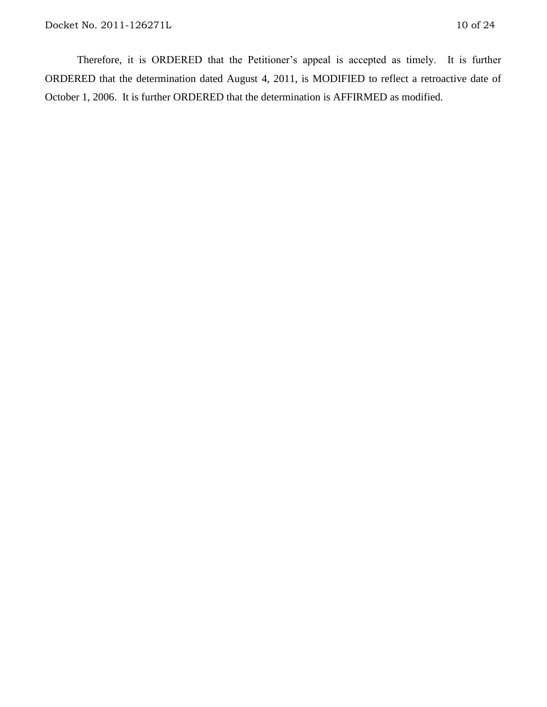Therefore, it is ORDERED that the Petitioner's appeal is accepted as timely. It is further ORDERED that the determination dated August 4, 2011, is MODIFIED to reflect a retroactive date of October 1, 2006. It is further ORDERED that the determination is AFFIRMED as modified.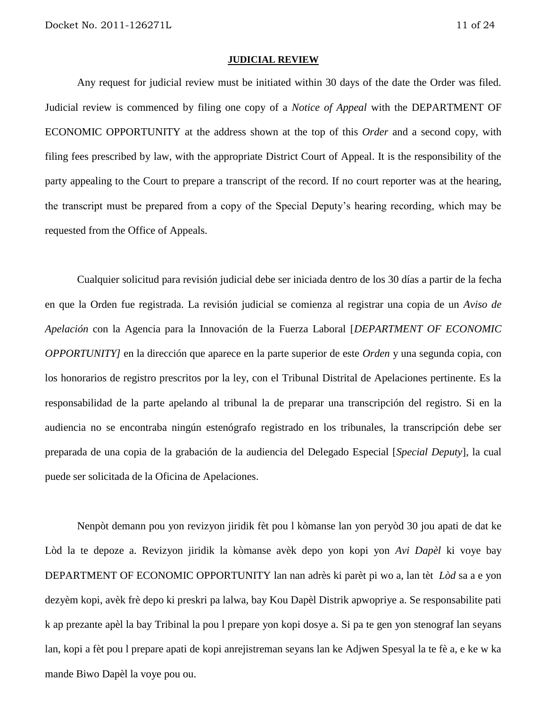#### **JUDICIAL REVIEW**

Any request for judicial review must be initiated within 30 days of the date the Order was filed. Judicial review is commenced by filing one copy of a *Notice of Appeal* with the DEPARTMENT OF ECONOMIC OPPORTUNITY at the address shown at the top of this *Order* and a second copy, with filing fees prescribed by law, with the appropriate District Court of Appeal. It is the responsibility of the party appealing to the Court to prepare a transcript of the record. If no court reporter was at the hearing, the transcript must be prepared from a copy of the Special Deputy's hearing recording, which may be requested from the Office of Appeals.

Cualquier solicitud para revisión judicial debe ser iniciada dentro de los 30 días a partir de la fecha en que la Orden fue registrada. La revisión judicial se comienza al registrar una copia de un *Aviso de Apelación* con la Agencia para la Innovación de la Fuerza Laboral [*DEPARTMENT OF ECONOMIC OPPORTUNITY]* en la dirección que aparece en la parte superior de este *Orden* y una segunda copia, con los honorarios de registro prescritos por la ley, con el Tribunal Distrital de Apelaciones pertinente. Es la responsabilidad de la parte apelando al tribunal la de preparar una transcripción del registro. Si en la audiencia no se encontraba ningún estenógrafo registrado en los tribunales, la transcripción debe ser preparada de una copia de la grabación de la audiencia del Delegado Especial [*Special Deputy*], la cual puede ser solicitada de la Oficina de Apelaciones.

Nenpòt demann pou yon revizyon jiridik fèt pou l kòmanse lan yon peryòd 30 jou apati de dat ke Lòd la te depoze a. Revizyon jiridik la kòmanse avèk depo yon kopi yon *Avi Dapèl* ki voye bay DEPARTMENT OF ECONOMIC OPPORTUNITY lan nan adrès ki parèt pi wo a, lan tèt *Lòd* sa a e yon dezyèm kopi, avèk frè depo ki preskri pa lalwa, bay Kou Dapèl Distrik apwopriye a. Se responsabilite pati k ap prezante apèl la bay Tribinal la pou l prepare yon kopi dosye a. Si pa te gen yon stenograf lan seyans lan, kopi a fèt pou l prepare apati de kopi anrejistreman seyans lan ke Adjwen Spesyal la te fè a, e ke w ka mande Biwo Dapèl la voye pou ou.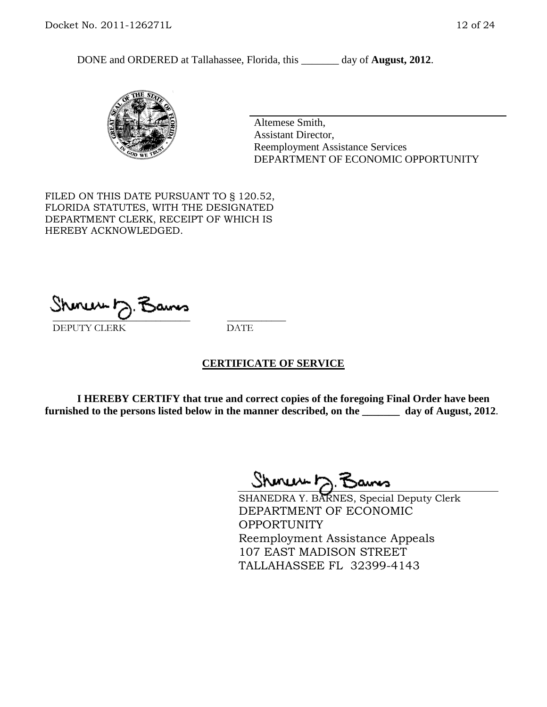DONE and ORDERED at Tallahassee, Florida, this day of **August, 2012**.



Altemese Smith, Assistant Director, Reemployment Assistance Services DEPARTMENT OF ECONOMIC OPPORTUNITY

FILED ON THIS DATE PURSUANT TO § 120.52, FLORIDA STATUTES, WITH THE DESIGNATED DEPARTMENT CLERK, RECEIPT OF WHICH IS HEREBY ACKNOWLEDGED.

unuu r \_\_\_\_\_\_\_\_\_\_\_\_\_\_\_\_\_\_\_\_\_\_\_\_\_\_\_\_ \_\_\_\_\_\_\_\_\_\_\_\_ DEPUTY CLERK DATE

#### **CERTIFICATE OF SERVICE**

**I HEREBY CERTIFY that true and correct copies of the foregoing Final Order have been furnished to the persons listed below in the manner described, on the \_\_\_\_\_\_\_ day of August, 2012**.

Shmun D.B

SHANEDRA Y. BARNES, Special Deputy Clerk DEPARTMENT OF ECONOMIC OPPORTUNITY Reemployment Assistance Appeals 107 EAST MADISON STREET TALLAHASSEE FL 32399-4143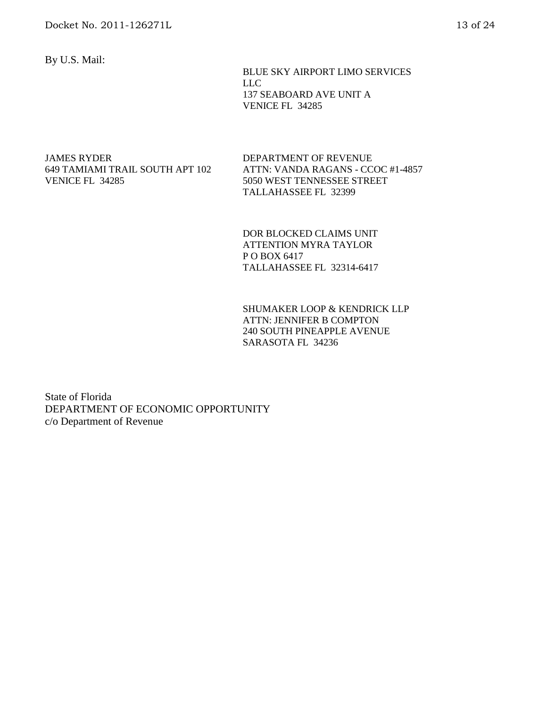By U.S. Mail:

 BLUE SKY AIRPORT LIMO SERVICES LLC 137 SEABOARD AVE UNIT A VENICE FL 34285

JAMES RYDER 649 TAMIAMI TRAIL SOUTH APT 102 VENICE FL 34285

DEPARTMENT OF REVENUE ATTN: VANDA RAGANS - CCOC #1-4857 5050 WEST TENNESSEE STREET TALLAHASSEE FL 32399

DOR BLOCKED CLAIMS UNIT ATTENTION MYRA TAYLOR P O BOX 6417 TALLAHASSEE FL 32314-6417

SHUMAKER LOOP & KENDRICK LLP ATTN: JENNIFER B COMPTON 240 SOUTH PINEAPPLE AVENUE SARASOTA FL 34236

State of Florida DEPARTMENT OF ECONOMIC OPPORTUNITY c/o Department of Revenue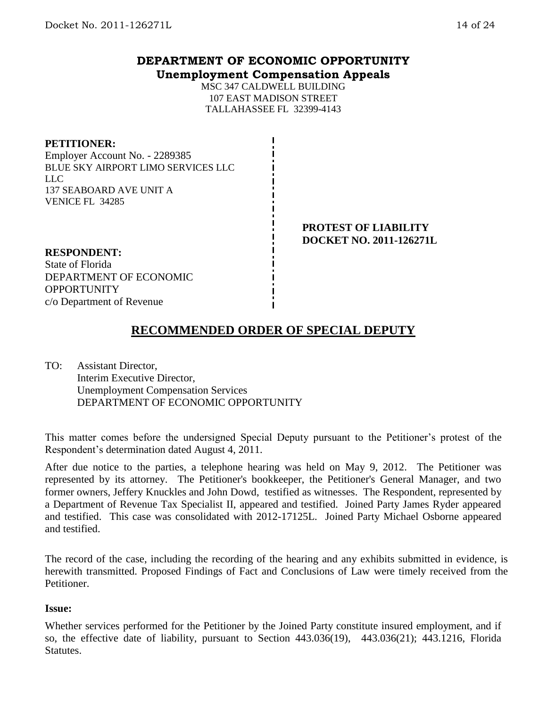## **DEPARTMENT OF ECONOMIC OPPORTUNITY Unemployment Compensation Appeals**

MSC 347 CALDWELL BUILDING 107 EAST MADISON STREET TALLAHASSEE FL 32399-4143

#### **PETITIONER:**

Employer Account No. - 2289385 BLUE SKY AIRPORT LIMO SERVICES LLC LLC 137 SEABOARD AVE UNIT A VENICE FL 34285

#### **PROTEST OF LIABILITY DOCKET NO. 2011-126271L**

### **RESPONDENT:**

State of Florida DEPARTMENT OF ECONOMIC **OPPORTUNITY** c/o Department of Revenue

# **RECOMMENDED ORDER OF SPECIAL DEPUTY**

TO: Assistant Director, Interim Executive Director, Unemployment Compensation Services DEPARTMENT OF ECONOMIC OPPORTUNITY

This matter comes before the undersigned Special Deputy pursuant to the Petitioner's protest of the Respondent's determination dated August 4, 2011.

After due notice to the parties, a telephone hearing was held on May 9, 2012. The Petitioner was represented by its attorney. The Petitioner's bookkeeper, the Petitioner's General Manager, and two former owners, Jeffery Knuckles and John Dowd, testified as witnesses. The Respondent, represented by a Department of Revenue Tax Specialist II, appeared and testified. Joined Party James Ryder appeared and testified. This case was consolidated with 2012-17125L. Joined Party Michael Osborne appeared and testified.

The record of the case, including the recording of the hearing and any exhibits submitted in evidence, is herewith transmitted. Proposed Findings of Fact and Conclusions of Law were timely received from the Petitioner.

#### **Issue:**

Whether services performed for the Petitioner by the Joined Party constitute insured employment, and if so, the effective date of liability, pursuant to Section 443.036(19), 443.036(21); 443.1216, Florida Statutes.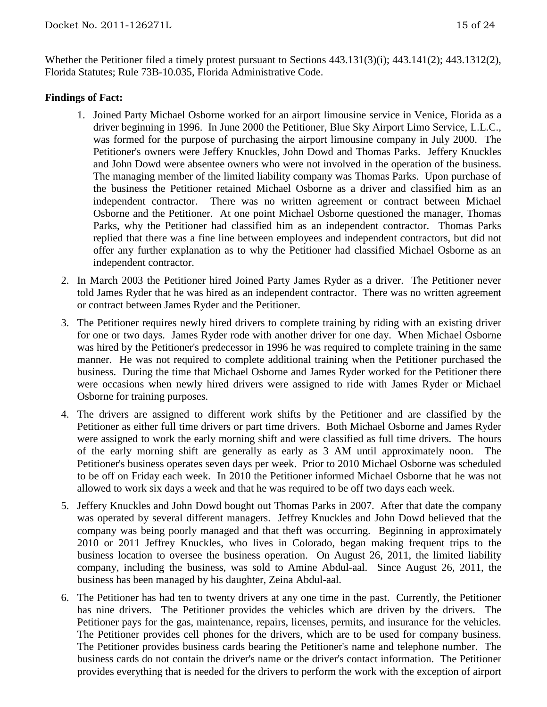Whether the Petitioner filed a timely protest pursuant to Sections 443.131(3)(i); 443.141(2); 443.1312(2), Florida Statutes; Rule 73B-10.035, Florida Administrative Code.

#### **Findings of Fact:**

- 1. Joined Party Michael Osborne worked for an airport limousine service in Venice, Florida as a driver beginning in 1996. In June 2000 the Petitioner, Blue Sky Airport Limo Service, L.L.C., was formed for the purpose of purchasing the airport limousine company in July 2000. The Petitioner's owners were Jeffery Knuckles, John Dowd and Thomas Parks. Jeffery Knuckles and John Dowd were absentee owners who were not involved in the operation of the business. The managing member of the limited liability company was Thomas Parks. Upon purchase of the business the Petitioner retained Michael Osborne as a driver and classified him as an independent contractor. There was no written agreement or contract between Michael Osborne and the Petitioner. At one point Michael Osborne questioned the manager, Thomas Parks, why the Petitioner had classified him as an independent contractor. Thomas Parks replied that there was a fine line between employees and independent contractors, but did not offer any further explanation as to why the Petitioner had classified Michael Osborne as an independent contractor.
- 2. In March 2003 the Petitioner hired Joined Party James Ryder as a driver. The Petitioner never told James Ryder that he was hired as an independent contractor. There was no written agreement or contract between James Ryder and the Petitioner.
- 3. The Petitioner requires newly hired drivers to complete training by riding with an existing driver for one or two days. James Ryder rode with another driver for one day. When Michael Osborne was hired by the Petitioner's predecessor in 1996 he was required to complete training in the same manner. He was not required to complete additional training when the Petitioner purchased the business. During the time that Michael Osborne and James Ryder worked for the Petitioner there were occasions when newly hired drivers were assigned to ride with James Ryder or Michael Osborne for training purposes.
- 4. The drivers are assigned to different work shifts by the Petitioner and are classified by the Petitioner as either full time drivers or part time drivers. Both Michael Osborne and James Ryder were assigned to work the early morning shift and were classified as full time drivers. The hours of the early morning shift are generally as early as 3 AM until approximately noon. The Petitioner's business operates seven days per week. Prior to 2010 Michael Osborne was scheduled to be off on Friday each week. In 2010 the Petitioner informed Michael Osborne that he was not allowed to work six days a week and that he was required to be off two days each week.
- 5. Jeffery Knuckles and John Dowd bought out Thomas Parks in 2007. After that date the company was operated by several different managers. Jeffrey Knuckles and John Dowd believed that the company was being poorly managed and that theft was occurring. Beginning in approximately 2010 or 2011 Jeffrey Knuckles, who lives in Colorado, began making frequent trips to the business location to oversee the business operation. On August 26, 2011, the limited liability company, including the business, was sold to Amine Abdul-aal. Since August 26, 2011, the business has been managed by his daughter, Zeina Abdul-aal.
- 6. The Petitioner has had ten to twenty drivers at any one time in the past. Currently, the Petitioner has nine drivers. The Petitioner provides the vehicles which are driven by the drivers. The Petitioner pays for the gas, maintenance, repairs, licenses, permits, and insurance for the vehicles. The Petitioner provides cell phones for the drivers, which are to be used for company business. The Petitioner provides business cards bearing the Petitioner's name and telephone number. The business cards do not contain the driver's name or the driver's contact information. The Petitioner provides everything that is needed for the drivers to perform the work with the exception of airport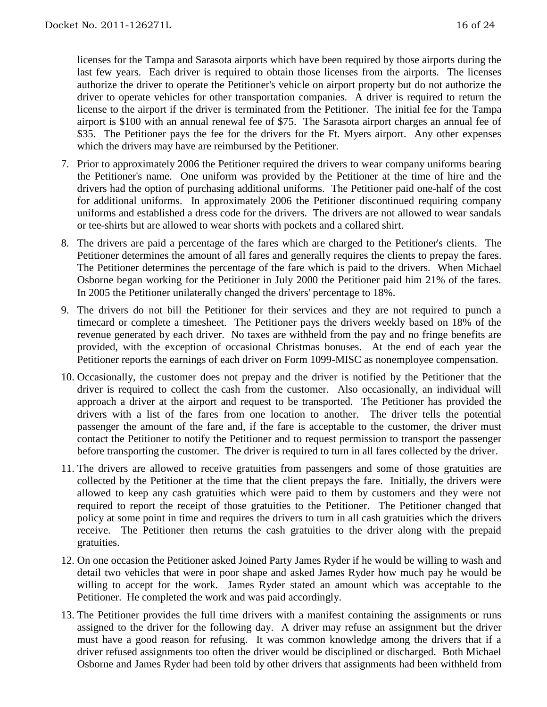licenses for the Tampa and Sarasota airports which have been required by those airports during the last few years. Each driver is required to obtain those licenses from the airports. The licenses authorize the driver to operate the Petitioner's vehicle on airport property but do not authorize the driver to operate vehicles for other transportation companies. A driver is required to return the license to the airport if the driver is terminated from the Petitioner. The initial fee for the Tampa airport is \$100 with an annual renewal fee of \$75. The Sarasota airport charges an annual fee of \$35. The Petitioner pays the fee for the drivers for the Ft. Myers airport. Any other expenses which the drivers may have are reimbursed by the Petitioner.

- 7. Prior to approximately 2006 the Petitioner required the drivers to wear company uniforms bearing the Petitioner's name. One uniform was provided by the Petitioner at the time of hire and the drivers had the option of purchasing additional uniforms. The Petitioner paid one-half of the cost for additional uniforms. In approximately 2006 the Petitioner discontinued requiring company uniforms and established a dress code for the drivers. The drivers are not allowed to wear sandals or tee-shirts but are allowed to wear shorts with pockets and a collared shirt.
- 8. The drivers are paid a percentage of the fares which are charged to the Petitioner's clients. The Petitioner determines the amount of all fares and generally requires the clients to prepay the fares. The Petitioner determines the percentage of the fare which is paid to the drivers. When Michael Osborne began working for the Petitioner in July 2000 the Petitioner paid him 21% of the fares. In 2005 the Petitioner unilaterally changed the drivers' percentage to 18%.
- 9. The drivers do not bill the Petitioner for their services and they are not required to punch a timecard or complete a timesheet. The Petitioner pays the drivers weekly based on 18% of the revenue generated by each driver. No taxes are withheld from the pay and no fringe benefits are provided, with the exception of occasional Christmas bonuses. At the end of each year the Petitioner reports the earnings of each driver on Form 1099-MISC as nonemployee compensation.
- 10. Occasionally, the customer does not prepay and the driver is notified by the Petitioner that the driver is required to collect the cash from the customer. Also occasionally, an individual will approach a driver at the airport and request to be transported. The Petitioner has provided the drivers with a list of the fares from one location to another. The driver tells the potential passenger the amount of the fare and, if the fare is acceptable to the customer, the driver must contact the Petitioner to notify the Petitioner and to request permission to transport the passenger before transporting the customer. The driver is required to turn in all fares collected by the driver.
- 11. The drivers are allowed to receive gratuities from passengers and some of those gratuities are collected by the Petitioner at the time that the client prepays the fare. Initially, the drivers were allowed to keep any cash gratuities which were paid to them by customers and they were not required to report the receipt of those gratuities to the Petitioner. The Petitioner changed that policy at some point in time and requires the drivers to turn in all cash gratuities which the drivers receive. The Petitioner then returns the cash gratuities to the driver along with the prepaid gratuities.
- 12. On one occasion the Petitioner asked Joined Party James Ryder if he would be willing to wash and detail two vehicles that were in poor shape and asked James Ryder how much pay he would be willing to accept for the work. James Ryder stated an amount which was acceptable to the Petitioner. He completed the work and was paid accordingly.
- 13. The Petitioner provides the full time drivers with a manifest containing the assignments or runs assigned to the driver for the following day. A driver may refuse an assignment but the driver must have a good reason for refusing. It was common knowledge among the drivers that if a driver refused assignments too often the driver would be disciplined or discharged. Both Michael Osborne and James Ryder had been told by other drivers that assignments had been withheld from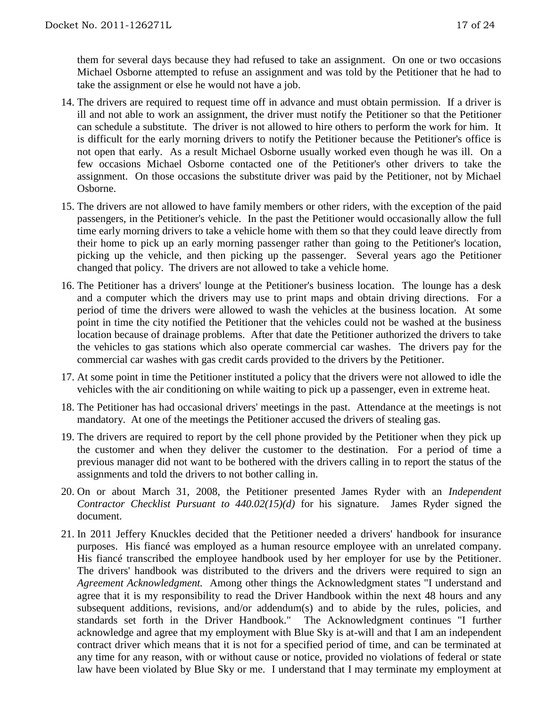them for several days because they had refused to take an assignment. On one or two occasions Michael Osborne attempted to refuse an assignment and was told by the Petitioner that he had to take the assignment or else he would not have a job.

- 14. The drivers are required to request time off in advance and must obtain permission. If a driver is ill and not able to work an assignment, the driver must notify the Petitioner so that the Petitioner can schedule a substitute. The driver is not allowed to hire others to perform the work for him. It is difficult for the early morning drivers to notify the Petitioner because the Petitioner's office is not open that early. As a result Michael Osborne usually worked even though he was ill. On a few occasions Michael Osborne contacted one of the Petitioner's other drivers to take the assignment. On those occasions the substitute driver was paid by the Petitioner, not by Michael Osborne.
- 15. The drivers are not allowed to have family members or other riders, with the exception of the paid passengers, in the Petitioner's vehicle. In the past the Petitioner would occasionally allow the full time early morning drivers to take a vehicle home with them so that they could leave directly from their home to pick up an early morning passenger rather than going to the Petitioner's location, picking up the vehicle, and then picking up the passenger. Several years ago the Petitioner changed that policy. The drivers are not allowed to take a vehicle home.
- 16. The Petitioner has a drivers' lounge at the Petitioner's business location. The lounge has a desk and a computer which the drivers may use to print maps and obtain driving directions. For a period of time the drivers were allowed to wash the vehicles at the business location. At some point in time the city notified the Petitioner that the vehicles could not be washed at the business location because of drainage problems. After that date the Petitioner authorized the drivers to take the vehicles to gas stations which also operate commercial car washes. The drivers pay for the commercial car washes with gas credit cards provided to the drivers by the Petitioner.
- 17. At some point in time the Petitioner instituted a policy that the drivers were not allowed to idle the vehicles with the air conditioning on while waiting to pick up a passenger, even in extreme heat.
- 18. The Petitioner has had occasional drivers' meetings in the past. Attendance at the meetings is not mandatory. At one of the meetings the Petitioner accused the drivers of stealing gas.
- 19. The drivers are required to report by the cell phone provided by the Petitioner when they pick up the customer and when they deliver the customer to the destination. For a period of time a previous manager did not want to be bothered with the drivers calling in to report the status of the assignments and told the drivers to not bother calling in.
- 20. On or about March 31, 2008, the Petitioner presented James Ryder with an *Independent Contractor Checklist Pursuant to 440.02(15)(d)* for his signature. James Ryder signed the document.
- 21. In 2011 Jeffery Knuckles decided that the Petitioner needed a drivers' handbook for insurance purposes. His fiancé was employed as a human resource employee with an unrelated company. His fiancé transcribed the employee handbook used by her employer for use by the Petitioner. The drivers' handbook was distributed to the drivers and the drivers were required to sign an *Agreement Acknowledgment.* Among other things the Acknowledgment states "I understand and agree that it is my responsibility to read the Driver Handbook within the next 48 hours and any subsequent additions, revisions, and/or addendum(s) and to abide by the rules, policies, and standards set forth in the Driver Handbook." The Acknowledgment continues "I further acknowledge and agree that my employment with Blue Sky is at-will and that I am an independent contract driver which means that it is not for a specified period of time, and can be terminated at any time for any reason, with or without cause or notice, provided no violations of federal or state law have been violated by Blue Sky or me. I understand that I may terminate my employment at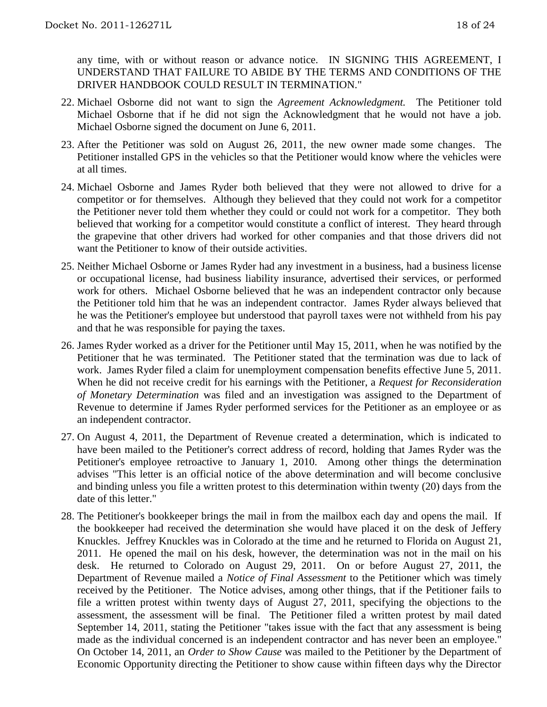any time, with or without reason or advance notice. IN SIGNING THIS AGREEMENT, I UNDERSTAND THAT FAILURE TO ABIDE BY THE TERMS AND CONDITIONS OF THE DRIVER HANDBOOK COULD RESULT IN TERMINATION."

- 22. Michael Osborne did not want to sign the *Agreement Acknowledgment.* The Petitioner told Michael Osborne that if he did not sign the Acknowledgment that he would not have a job. Michael Osborne signed the document on June 6, 2011.
- 23. After the Petitioner was sold on August 26, 2011, the new owner made some changes. The Petitioner installed GPS in the vehicles so that the Petitioner would know where the vehicles were at all times.
- 24. Michael Osborne and James Ryder both believed that they were not allowed to drive for a competitor or for themselves. Although they believed that they could not work for a competitor the Petitioner never told them whether they could or could not work for a competitor. They both believed that working for a competitor would constitute a conflict of interest. They heard through the grapevine that other drivers had worked for other companies and that those drivers did not want the Petitioner to know of their outside activities.
- 25. Neither Michael Osborne or James Ryder had any investment in a business, had a business license or occupational license, had business liability insurance, advertised their services, or performed work for others. Michael Osborne believed that he was an independent contractor only because the Petitioner told him that he was an independent contractor. James Ryder always believed that he was the Petitioner's employee but understood that payroll taxes were not withheld from his pay and that he was responsible for paying the taxes.
- 26. James Ryder worked as a driver for the Petitioner until May 15, 2011, when he was notified by the Petitioner that he was terminated. The Petitioner stated that the termination was due to lack of work. James Ryder filed a claim for unemployment compensation benefits effective June 5, 2011. When he did not receive credit for his earnings with the Petitioner, a *Request for Reconsideration of Monetary Determination* was filed and an investigation was assigned to the Department of Revenue to determine if James Ryder performed services for the Petitioner as an employee or as an independent contractor.
- 27. On August 4, 2011, the Department of Revenue created a determination, which is indicated to have been mailed to the Petitioner's correct address of record, holding that James Ryder was the Petitioner's employee retroactive to January 1, 2010. Among other things the determination advises "This letter is an official notice of the above determination and will become conclusive and binding unless you file a written protest to this determination within twenty (20) days from the date of this letter."
- 28. The Petitioner's bookkeeper brings the mail in from the mailbox each day and opens the mail. If the bookkeeper had received the determination she would have placed it on the desk of Jeffery Knuckles. Jeffrey Knuckles was in Colorado at the time and he returned to Florida on August 21, 2011. He opened the mail on his desk, however, the determination was not in the mail on his desk. He returned to Colorado on August 29, 2011. On or before August 27, 2011, the Department of Revenue mailed a *Notice of Final Assessment* to the Petitioner which was timely received by the Petitioner. The Notice advises, among other things, that if the Petitioner fails to file a written protest within twenty days of August 27, 2011, specifying the objections to the assessment, the assessment will be final. The Petitioner filed a written protest by mail dated September 14, 2011, stating the Petitioner "takes issue with the fact that any assessment is being made as the individual concerned is an independent contractor and has never been an employee." On October 14, 2011, an *Order to Show Cause* was mailed to the Petitioner by the Department of Economic Opportunity directing the Petitioner to show cause within fifteen days why the Director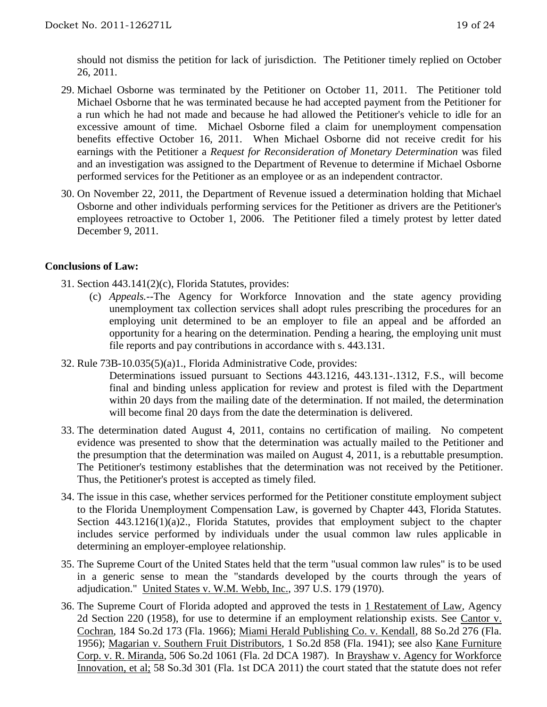should not dismiss the petition for lack of jurisdiction. The Petitioner timely replied on October 26, 2011.

- 29. Michael Osborne was terminated by the Petitioner on October 11, 2011. The Petitioner told Michael Osborne that he was terminated because he had accepted payment from the Petitioner for a run which he had not made and because he had allowed the Petitioner's vehicle to idle for an excessive amount of time. Michael Osborne filed a claim for unemployment compensation benefits effective October 16, 2011. When Michael Osborne did not receive credit for his earnings with the Petitioner a *Request for Reconsideration of Monetary Determination* was filed and an investigation was assigned to the Department of Revenue to determine if Michael Osborne performed services for the Petitioner as an employee or as an independent contractor.
- 30. On November 22, 2011, the Department of Revenue issued a determination holding that Michael Osborne and other individuals performing services for the Petitioner as drivers are the Petitioner's employees retroactive to October 1, 2006. The Petitioner filed a timely protest by letter dated December 9, 2011.

### **Conclusions of Law:**

- 31. Section 443.141(2)(c), Florida Statutes, provides:
	- (c) *Appeals.*--The Agency for Workforce Innovation and the state agency providing unemployment tax collection services shall adopt rules prescribing the procedures for an employing unit determined to be an employer to file an appeal and be afforded an opportunity for a hearing on the determination. Pending a hearing, the employing unit must file reports and pay contributions in accordance with s. 443.131.
- 32. Rule 73B-10.035(5)(a)1., Florida Administrative Code, provides:
	- Determinations issued pursuant to Sections 443.1216, 443.131-.1312, F.S., will become final and binding unless application for review and protest is filed with the Department within 20 days from the mailing date of the determination. If not mailed, the determination will become final 20 days from the date the determination is delivered.
- 33. The determination dated August 4, 2011, contains no certification of mailing. No competent evidence was presented to show that the determination was actually mailed to the Petitioner and the presumption that the determination was mailed on August 4, 2011, is a rebuttable presumption. The Petitioner's testimony establishes that the determination was not received by the Petitioner. Thus, the Petitioner's protest is accepted as timely filed.
- 34. The issue in this case, whether services performed for the Petitioner constitute employment subject to the Florida Unemployment Compensation Law, is governed by Chapter 443, Florida Statutes. Section 443.1216(1)(a)2., Florida Statutes, provides that employment subject to the chapter includes service performed by individuals under the usual common law rules applicable in determining an employer-employee relationship.
- 35. The Supreme Court of the United States held that the term "usual common law rules" is to be used in a generic sense to mean the "standards developed by the courts through the years of adjudication." United States v. W.M. Webb, Inc., 397 U.S. 179 (1970).
- 36. The Supreme Court of Florida adopted and approved the tests in 1 Restatement of Law, Agency 2d Section 220 (1958), for use to determine if an employment relationship exists. See Cantor v. Cochran, 184 So.2d 173 (Fla. 1966); Miami Herald Publishing Co. v. Kendall, 88 So.2d 276 (Fla. 1956); Magarian v. Southern Fruit Distributors, 1 So.2d 858 (Fla. 1941); see also Kane Furniture Corp. v. R. Miranda, 506 So.2d 1061 (Fla. 2d DCA 1987). In Brayshaw v. Agency for Workforce Innovation, et al; 58 So.3d 301 (Fla. 1st DCA 2011) the court stated that the statute does not refer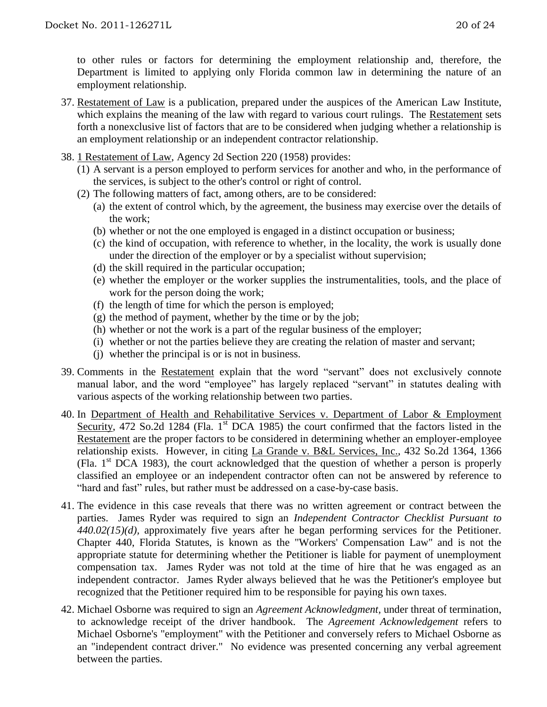to other rules or factors for determining the employment relationship and, therefore, the Department is limited to applying only Florida common law in determining the nature of an employment relationship.

- 37. Restatement of Law is a publication, prepared under the auspices of the American Law Institute, which explains the meaning of the law with regard to various court rulings. The Restatement sets forth a nonexclusive list of factors that are to be considered when judging whether a relationship is an employment relationship or an independent contractor relationship.
- 38. 1 Restatement of Law, Agency 2d Section 220 (1958) provides:
	- (1) A servant is a person employed to perform services for another and who, in the performance of the services, is subject to the other's control or right of control.
	- (2) The following matters of fact, among others, are to be considered:
		- (a) the extent of control which, by the agreement, the business may exercise over the details of the work;
		- (b) whether or not the one employed is engaged in a distinct occupation or business;
		- (c) the kind of occupation, with reference to whether, in the locality, the work is usually done under the direction of the employer or by a specialist without supervision;
		- (d) the skill required in the particular occupation;
		- (e) whether the employer or the worker supplies the instrumentalities, tools, and the place of work for the person doing the work;
		- (f) the length of time for which the person is employed;
		- $(g)$  the method of payment, whether by the time or by the job;
		- (h) whether or not the work is a part of the regular business of the employer;
		- (i) whether or not the parties believe they are creating the relation of master and servant;
		- (j) whether the principal is or is not in business.
- 39. Comments in the Restatement explain that the word "servant" does not exclusively connote manual labor, and the word "employee" has largely replaced "servant" in statutes dealing with various aspects of the working relationship between two parties.
- 40. In Department of Health and Rehabilitative Services v. Department of Labor & Employment Security, 472 So.2d 1284 (Fla. 1<sup>st</sup> DCA 1985) the court confirmed that the factors listed in the Restatement are the proper factors to be considered in determining whether an employer-employee relationship exists. However, in citing La Grande v. B&L Services, Inc., 432 So.2d 1364, 1366 (Fla.  $1<sup>st</sup> DCA$  1983), the court acknowledged that the question of whether a person is properly classified an employee or an independent contractor often can not be answered by reference to "hard and fast" rules, but rather must be addressed on a case-by-case basis.
- 41. The evidence in this case reveals that there was no written agreement or contract between the parties. James Ryder was required to sign an *Independent Contractor Checklist Pursuant to 440.02(15)(d),* approximately five years after he began performing services for the Petitioner. Chapter 440, Florida Statutes, is known as the "Workers' Compensation Law" and is not the appropriate statute for determining whether the Petitioner is liable for payment of unemployment compensation tax. James Ryder was not told at the time of hire that he was engaged as an independent contractor. James Ryder always believed that he was the Petitioner's employee but recognized that the Petitioner required him to be responsible for paying his own taxes.
- 42. Michael Osborne was required to sign an *Agreement Acknowledgment,* under threat of termination, to acknowledge receipt of the driver handbook. The *Agreement Acknowledgement* refers to Michael Osborne's "employment" with the Petitioner and conversely refers to Michael Osborne as an "independent contract driver." No evidence was presented concerning any verbal agreement between the parties.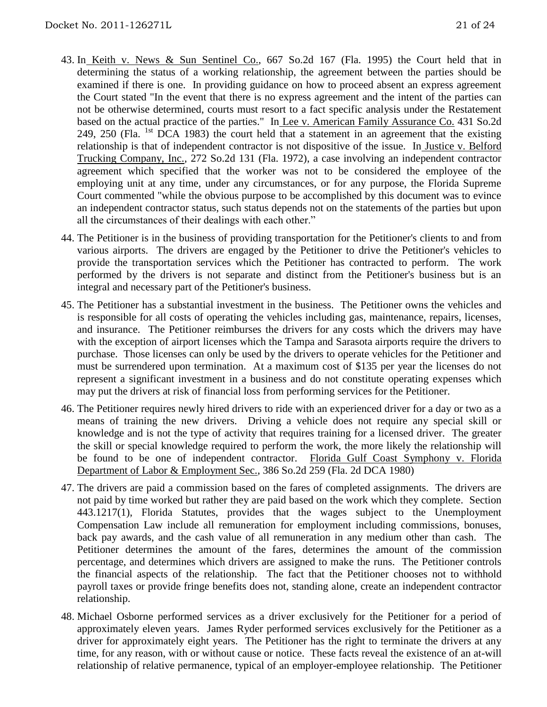- 43. In Keith v. News & Sun Sentinel Co., 667 So.2d 167 (Fla. 1995) the Court held that in determining the status of a working relationship, the agreement between the parties should be examined if there is one. In providing guidance on how to proceed absent an express agreement the Court stated "In the event that there is no express agreement and the intent of the parties can not be otherwise determined, courts must resort to a fact specific analysis under the Restatement based on the actual practice of the parties." In Lee v. American Family Assurance Co. 431 So.2d 249, 250 (Fla. <sup>1st</sup> DCA 1983) the court held that a statement in an agreement that the existing relationship is that of independent contractor is not dispositive of the issue. In Justice v. Belford Trucking Company, Inc., 272 So.2d 131 (Fla. 1972), a case involving an independent contractor agreement which specified that the worker was not to be considered the employee of the employing unit at any time, under any circumstances, or for any purpose, the Florida Supreme Court commented "while the obvious purpose to be accomplished by this document was to evince an independent contractor status, such status depends not on the statements of the parties but upon all the circumstances of their dealings with each other."
- 44. The Petitioner is in the business of providing transportation for the Petitioner's clients to and from various airports. The drivers are engaged by the Petitioner to drive the Petitioner's vehicles to provide the transportation services which the Petitioner has contracted to perform. The work performed by the drivers is not separate and distinct from the Petitioner's business but is an integral and necessary part of the Petitioner's business.
- 45. The Petitioner has a substantial investment in the business. The Petitioner owns the vehicles and is responsible for all costs of operating the vehicles including gas, maintenance, repairs, licenses, and insurance. The Petitioner reimburses the drivers for any costs which the drivers may have with the exception of airport licenses which the Tampa and Sarasota airports require the drivers to purchase. Those licenses can only be used by the drivers to operate vehicles for the Petitioner and must be surrendered upon termination. At a maximum cost of \$135 per year the licenses do not represent a significant investment in a business and do not constitute operating expenses which may put the drivers at risk of financial loss from performing services for the Petitioner.
- 46. The Petitioner requires newly hired drivers to ride with an experienced driver for a day or two as a means of training the new drivers. Driving a vehicle does not require any special skill or knowledge and is not the type of activity that requires training for a licensed driver. The greater the skill or special knowledge required to perform the work, the more likely the relationship will be found to be one of independent contractor. Florida Gulf Coast Symphony v. Florida Department of Labor & Employment Sec., 386 So.2d 259 (Fla. 2d DCA 1980)
- 47. The drivers are paid a commission based on the fares of completed assignments. The drivers are not paid by time worked but rather they are paid based on the work which they complete. Section 443.1217(1), Florida Statutes, provides that the wages subject to the Unemployment Compensation Law include all remuneration for employment including commissions, bonuses, back pay awards, and the cash value of all remuneration in any medium other than cash. The Petitioner determines the amount of the fares, determines the amount of the commission percentage, and determines which drivers are assigned to make the runs. The Petitioner controls the financial aspects of the relationship. The fact that the Petitioner chooses not to withhold payroll taxes or provide fringe benefits does not, standing alone, create an independent contractor relationship.
- 48. Michael Osborne performed services as a driver exclusively for the Petitioner for a period of approximately eleven years. James Ryder performed services exclusively for the Petitioner as a driver for approximately eight years. The Petitioner has the right to terminate the drivers at any time, for any reason, with or without cause or notice. These facts reveal the existence of an at-will relationship of relative permanence, typical of an employer-employee relationship. The Petitioner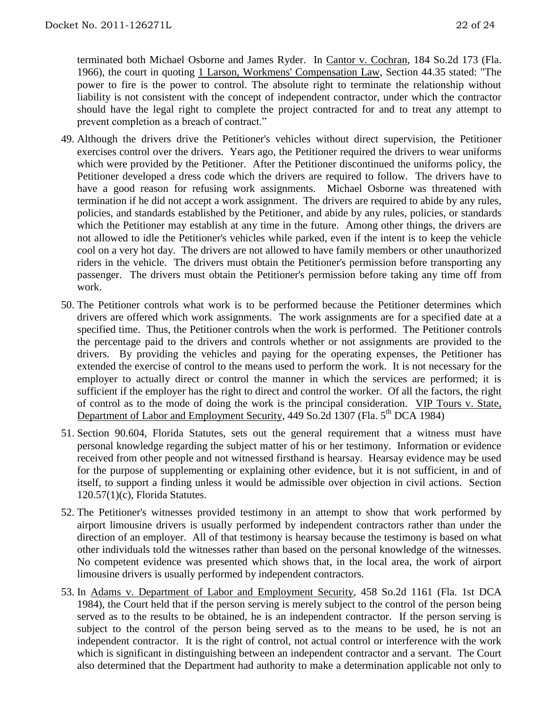terminated both Michael Osborne and James Ryder. In Cantor v. Cochran, 184 So.2d 173 (Fla. 1966), the court in quoting 1 Larson, Workmens' Compensation Law, Section 44.35 stated: "The power to fire is the power to control. The absolute right to terminate the relationship without liability is not consistent with the concept of independent contractor, under which the contractor should have the legal right to complete the project contracted for and to treat any attempt to prevent completion as a breach of contract."

- 49. Although the drivers drive the Petitioner's vehicles without direct supervision, the Petitioner exercises control over the drivers. Years ago, the Petitioner required the drivers to wear uniforms which were provided by the Petitioner. After the Petitioner discontinued the uniforms policy, the Petitioner developed a dress code which the drivers are required to follow. The drivers have to have a good reason for refusing work assignments. Michael Osborne was threatened with termination if he did not accept a work assignment. The drivers are required to abide by any rules, policies, and standards established by the Petitioner, and abide by any rules, policies, or standards which the Petitioner may establish at any time in the future. Among other things, the drivers are not allowed to idle the Petitioner's vehicles while parked, even if the intent is to keep the vehicle cool on a very hot day. The drivers are not allowed to have family members or other unauthorized riders in the vehicle. The drivers must obtain the Petitioner's permission before transporting any passenger. The drivers must obtain the Petitioner's permission before taking any time off from work.
- 50. The Petitioner controls what work is to be performed because the Petitioner determines which drivers are offered which work assignments. The work assignments are for a specified date at a specified time. Thus, the Petitioner controls when the work is performed. The Petitioner controls the percentage paid to the drivers and controls whether or not assignments are provided to the drivers. By providing the vehicles and paying for the operating expenses, the Petitioner has extended the exercise of control to the means used to perform the work. It is not necessary for the employer to actually direct or control the manner in which the services are performed; it is sufficient if the employer has the right to direct and control the worker. Of all the factors, the right of control as to the mode of doing the work is the principal consideration. VIP Tours v. State, Department of Labor and Employment Security, 449 So.2d 1307 (Fla. 5<sup>th</sup> DCA 1984)
- 51. Section 90.604, Florida Statutes, sets out the general requirement that a witness must have personal knowledge regarding the subject matter of his or her testimony. Information or evidence received from other people and not witnessed firsthand is hearsay. Hearsay evidence may be used for the purpose of supplementing or explaining other evidence, but it is not sufficient, in and of itself, to support a finding unless it would be admissible over objection in civil actions. Section 120.57(1)(c), Florida Statutes.
- 52. The Petitioner's witnesses provided testimony in an attempt to show that work performed by airport limousine drivers is usually performed by independent contractors rather than under the direction of an employer. All of that testimony is hearsay because the testimony is based on what other individuals told the witnesses rather than based on the personal knowledge of the witnesses. No competent evidence was presented which shows that, in the local area, the work of airport limousine drivers is usually performed by independent contractors.
- 53. In Adams v. Department of Labor and Employment Security, 458 So.2d 1161 (Fla. 1st DCA 1984), the Court held that if the person serving is merely subject to the control of the person being served as to the results to be obtained, he is an independent contractor. If the person serving is subject to the control of the person being served as to the means to be used, he is not an independent contractor. It is the right of control, not actual control or interference with the work which is significant in distinguishing between an independent contractor and a servant. The Court also determined that the Department had authority to make a determination applicable not only to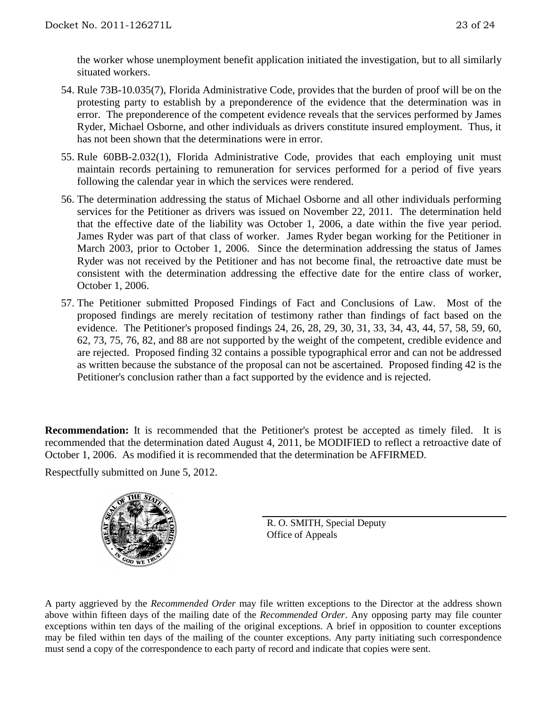the worker whose unemployment benefit application initiated the investigation, but to all similarly situated workers.

- 54. Rule 73B-10.035(7), Florida Administrative Code, provides that the burden of proof will be on the protesting party to establish by a preponderence of the evidence that the determination was in error. The preponderence of the competent evidence reveals that the services performed by James Ryder, Michael Osborne, and other individuals as drivers constitute insured employment. Thus, it has not been shown that the determinations were in error.
- 55. Rule 60BB-2.032(1), Florida Administrative Code, provides that each employing unit must maintain records pertaining to remuneration for services performed for a period of five years following the calendar year in which the services were rendered.
- 56. The determination addressing the status of Michael Osborne and all other individuals performing services for the Petitioner as drivers was issued on November 22, 2011. The determination held that the effective date of the liability was October 1, 2006, a date within the five year period. James Ryder was part of that class of worker. James Ryder began working for the Petitioner in March 2003, prior to October 1, 2006. Since the determination addressing the status of James Ryder was not received by the Petitioner and has not become final, the retroactive date must be consistent with the determination addressing the effective date for the entire class of worker, October 1, 2006.
- 57. The Petitioner submitted Proposed Findings of Fact and Conclusions of Law. Most of the proposed findings are merely recitation of testimony rather than findings of fact based on the evidence. The Petitioner's proposed findings 24, 26, 28, 29, 30, 31, 33, 34, 43, 44, 57, 58, 59, 60, 62, 73, 75, 76, 82, and 88 are not supported by the weight of the competent, credible evidence and are rejected. Proposed finding 32 contains a possible typographical error and can not be addressed as written because the substance of the proposal can not be ascertained. Proposed finding 42 is the Petitioner's conclusion rather than a fact supported by the evidence and is rejected.

**Recommendation:** It is recommended that the Petitioner's protest be accepted as timely filed. It is recommended that the determination dated August 4, 2011, be MODIFIED to reflect a retroactive date of October 1, 2006. As modified it is recommended that the determination be AFFIRMED.

Respectfully submitted on June 5, 2012.



R. O. SMITH, Special Deputy Office of Appeals

A party aggrieved by the *Recommended Order* may file written exceptions to the Director at the address shown above within fifteen days of the mailing date of the *Recommended Order*. Any opposing party may file counter exceptions within ten days of the mailing of the original exceptions. A brief in opposition to counter exceptions may be filed within ten days of the mailing of the counter exceptions. Any party initiating such correspondence must send a copy of the correspondence to each party of record and indicate that copies were sent.